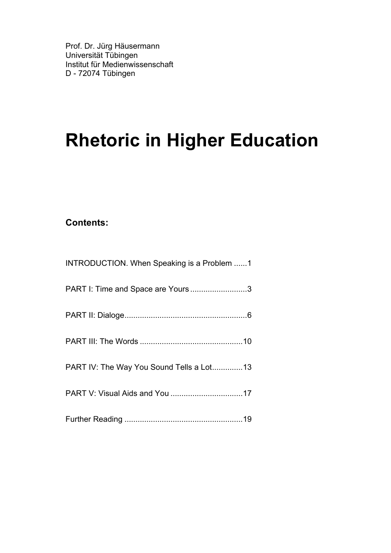# **Rhetoric in Higher Education**

#### **Contents:**

| INTRODUCTION. When Speaking is a Problem 1 |
|--------------------------------------------|
| PART I: Time and Space are Yours3          |
|                                            |
|                                            |
| PART IV: The Way You Sound Tells a Lot13   |
|                                            |
|                                            |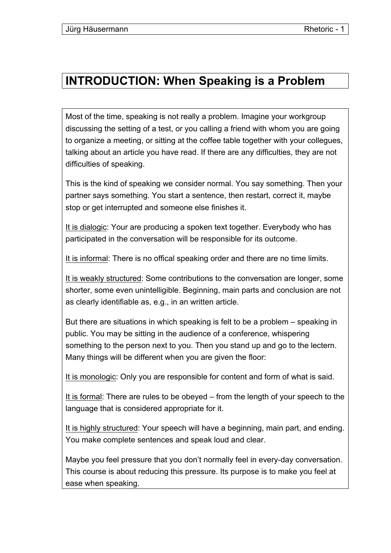#### **INTRODUCTION: When Speaking is a Problem**

Most of the time, speaking is not really a problem. Imagine your workgroup discussing the setting of a test, or you calling a friend with whom you are going to organize a meeting, or sitting at the coffee table together with your collegues, talking about an article you have read. If there are any difficulties, they are not difficulties of speaking.

This is the kind of speaking we consider normal. You say something. Then your partner says something. You start a sentence, then restart, correct it, maybe stop or get interrupted and someone else finishes it.

It is dialogic: Your are producing a spoken text together. Everybody who has participated in the conversation will be responsible for its outcome.

It is informal: There is no offical speaking order and there are no time limits.

It is weakly structured: Some contributions to the conversation are longer, some shorter, some even unintelligible. Beginning, main parts and conclusion are not as clearly identifiable as, e.g., in an written article.

But there are situations in which speaking is felt to be a problem – speaking in public. You may be sitting in the audience of a conference, whispering something to the person next to you. Then you stand up and go to the lectern. Many things will be different when you are given the floor:

It is monologic: Only you are responsible for content and form of what is said.

It is formal: There are rules to be obeyed – from the length of your speech to the language that is considered appropriate for it.

It is highly structured: Your speech will have a beginning, main part, and ending. You make complete sentences and speak loud and clear.

Maybe you feel pressure that you don't normally feel in every-day conversation. This course is about reducing this pressure. Its purpose is to make you feel at ease when speaking.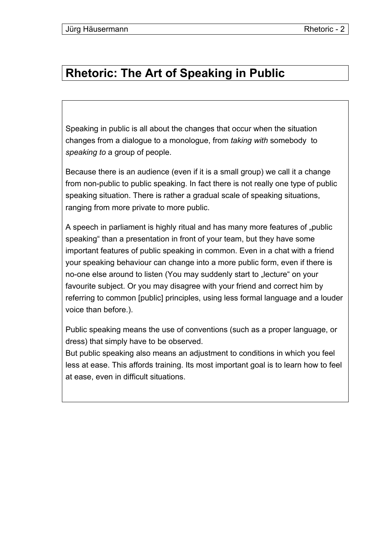#### **Rhetoric: The Art of Speaking in Public**

Speaking in public is all about the changes that occur when the situation changes from a dialogue to a monologue, from *taking with* somebody to *speaking to* a group of people.

Because there is an audience (even if it is a small group) we call it a change from non-public to public speaking. In fact there is not really one type of public speaking situation. There is rather a gradual scale of speaking situations, ranging from more private to more public.

A speech in parliament is highly ritual and has many more features of "public speaking" than a presentation in front of your team, but they have some important features of public speaking in common. Even in a chat with a friend your speaking behaviour can change into a more public form, even if there is no-one else around to listen (You may suddenly start to "lecture" on your favourite subject. Or you may disagree with your friend and correct him by referring to common [public] principles, using less formal language and a louder voice than before.).

Public speaking means the use of conventions (such as a proper language, or dress) that simply have to be observed.

But public speaking also means an adjustment to conditions in which you feel less at ease. This affords training. Its most important goal is to learn how to feel at ease, even in difficult situations.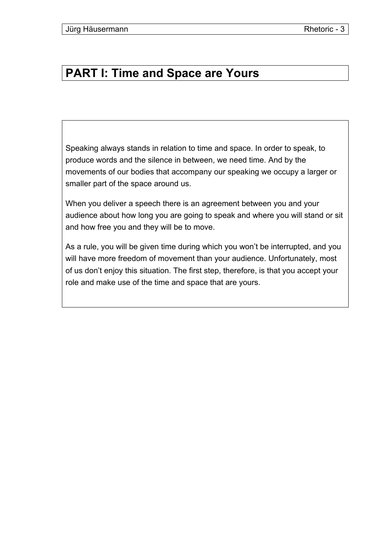### **PART I: Time and Space are Yours**

Speaking always stands in relation to time and space. In order to speak, to produce words and the silence in between, we need time. And by the movements of our bodies that accompany our speaking we occupy a larger or smaller part of the space around us.

When you deliver a speech there is an agreement between you and your audience about how long you are going to speak and where you will stand or sit and how free you and they will be to move.

As a rule, you will be given time during which you won't be interrupted, and you will have more freedom of movement than your audience. Unfortunately, most of us don't enjoy this situation. The first step, therefore, is that you accept your role and make use of the time and space that are yours.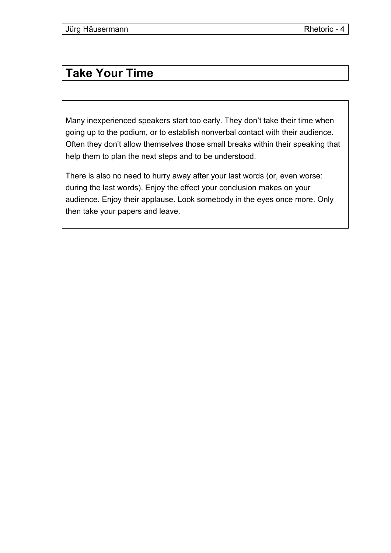### **Take Your Time**

Many inexperienced speakers start too early. They don't take their time when going up to the podium, or to establish nonverbal contact with their audience. Often they don't allow themselves those small breaks within their speaking that help them to plan the next steps and to be understood.

There is also no need to hurry away after your last words (or, even worse: during the last words). Enjoy the effect your conclusion makes on your audience. Enjoy their applause. Look somebody in the eyes once more. Only then take your papers and leave.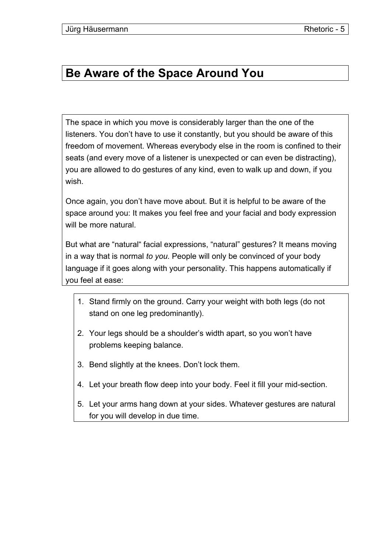#### **Be Aware of the Space Around You**

The space in which you move is considerably larger than the one of the listeners. You don't have to use it constantly, but you should be aware of this freedom of movement. Whereas everybody else in the room is confined to their seats (and every move of a listener is unexpected or can even be distracting), you are allowed to do gestures of any kind, even to walk up and down, if you wish.

Once again, you don't have move about. But it is helpful to be aware of the space around you: It makes you feel free and your facial and body expression will be more natural.

But what are "natural" facial expressions, "natural" gestures? It means moving in a way that is normal *to you.* People will only be convinced of your body language if it goes along with your personality. This happens automatically if you feel at ease:

- 1. Stand firmly on the ground. Carry your weight with both legs (do not stand on one leg predominantly).
- 2. Your legs should be a shoulder's width apart, so you won't have problems keeping balance.
- 3. Bend slightly at the knees. Don't lock them.
- 4. Let your breath flow deep into your body. Feel it fill your mid-section.
- 5. Let your arms hang down at your sides. Whatever gestures are natural for you will develop in due time.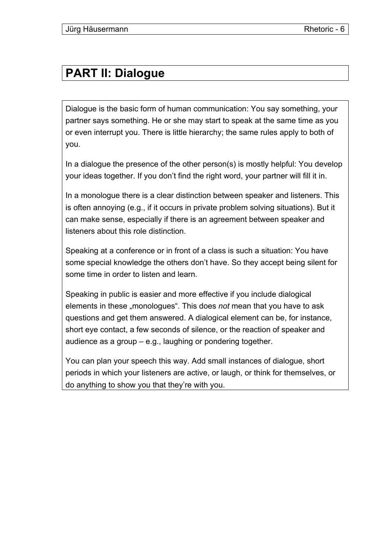### **PART II: Dialogue**

Dialogue is the basic form of human communication: You say something, your partner says something. He or she may start to speak at the same time as you or even interrupt you. There is little hierarchy; the same rules apply to both of you.

In a dialogue the presence of the other person(s) is mostly helpful: You develop your ideas together. If you don't find the right word, your partner will fill it in.

In a monologue there is a clear distinction between speaker and listeners. This is often annoying (e.g., if it occurs in private problem solving situations). But it can make sense, especially if there is an agreement between speaker and listeners about this role distinction.

Speaking at a conference or in front of a class is such a situation: You have some special knowledge the others don't have. So they accept being silent for some time in order to listen and learn.

Speaking in public is easier and more effective if you include dialogical elements in these "monologues". This does *not* mean that you have to ask questions and get them answered. A dialogical element can be, for instance, short eye contact, a few seconds of silence, or the reaction of speaker and audience as a group – e.g., laughing or pondering together.

You can plan your speech this way. Add small instances of dialogue, short periods in which your listeners are active, or laugh, or think for themselves, or do anything to show you that they're with you.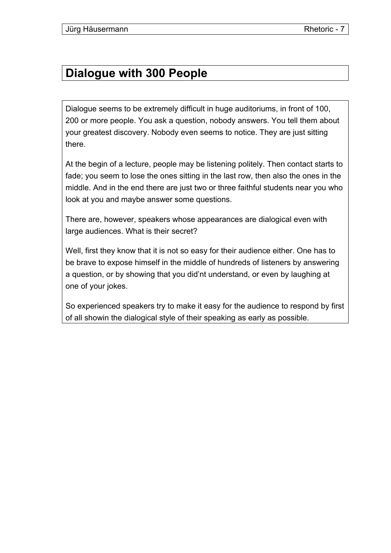#### **Dialogue with 300 People**

Dialogue seems to be extremely difficult in huge auditoriums, in front of 100, 200 or more people. You ask a question, nobody answers. You tell them about your greatest discovery. Nobody even seems to notice. They are just sitting there.

At the begin of a lecture, people may be listening politely. Then contact starts to fade; you seem to lose the ones sitting in the last row, then also the ones in the middle. And in the end there are just two or three faithful students near you who look at you and maybe answer some questions.

There are, however, speakers whose appearances are dialogical even with large audiences. What is their secret?

Well, first they know that it is not so easy for their audience either. One has to be brave to expose himself in the middle of hundreds of listeners by answering a question, or by showing that you did'nt understand, or even by laughing at one of your jokes.

So experienced speakers try to make it easy for the audience to respond by first of all showin the dialogical style of their speaking as early as possible.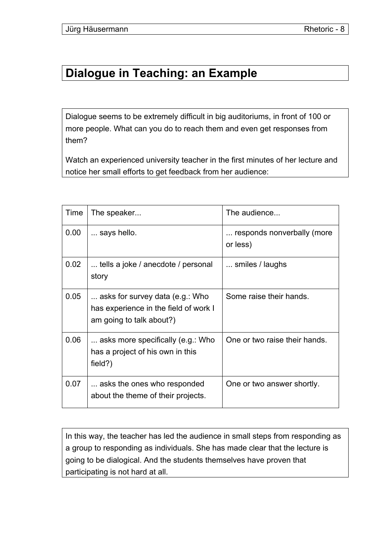#### **Dialogue in Teaching: an Example**

Dialogue seems to be extremely difficult in big auditoriums, in front of 100 or more people. What can you do to reach them and even get responses from them?

Watch an experienced university teacher in the first minutes of her lecture and notice her small efforts to get feedback from her audience:

| Time | The speaker                                                                                          | The audience                           |
|------|------------------------------------------------------------------------------------------------------|----------------------------------------|
| 0.00 | says hello.                                                                                          | responds nonverbally (more<br>or less) |
| 0.02 | tells a joke / anecdote / personal<br>story                                                          | smiles / laughs                        |
| 0.05 | asks for survey data (e.g.: Who<br>has experience in the field of work I<br>am going to talk about?) | Some raise their hands.                |
| 0.06 | asks more specifically (e.g.: Who<br>has a project of his own in this<br>field?)                     | One or two raise their hands.          |
| 0.07 | asks the ones who responded<br>about the theme of their projects.                                    | One or two answer shortly.             |

In this way, the teacher has led the audience in small steps from responding as a group to responding as individuals. She has made clear that the lecture is going to be dialogical. And the students themselves have proven that participating is not hard at all.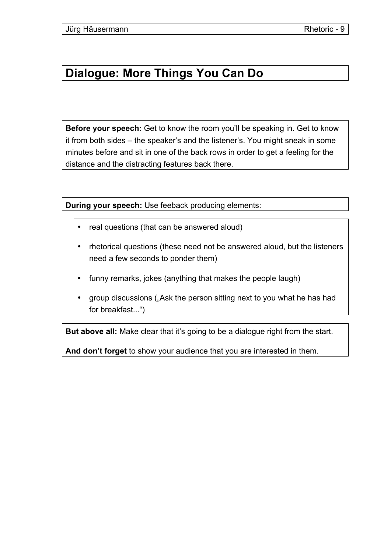### **Dialogue: More Things You Can Do**

**Before your speech:** Get to know the room you'll be speaking in. Get to know it from both sides – the speaker's and the listener's. You might sneak in some minutes before and sit in one of the back rows in order to get a feeling for the distance and the distracting features back there.

**During your speech:** Use feeback producing elements:

- real questions (that can be answered aloud)
- rhetorical questions (these need not be answered aloud, but the listeners need a few seconds to ponder them)
- funny remarks, jokes (anything that makes the people laugh)
- group discussions ("Ask the person sitting next to you what he has had for breakfast...")

**But above all:** Make clear that it's going to be a dialogue right from the start.

**And don't forget** to show your audience that you are interested in them.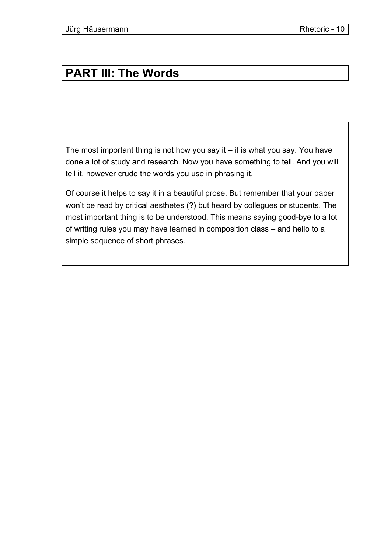### **PART III: The Words**

The most important thing is not how you say it – it is what you say. You have done a lot of study and research. Now you have something to tell. And you will tell it, however crude the words you use in phrasing it.

Of course it helps to say it in a beautiful prose. But remember that your paper won't be read by critical aesthetes (?) but heard by collegues or students. The most important thing is to be understood. This means saying good-bye to a lot of writing rules you may have learned in composition class – and hello to a simple sequence of short phrases.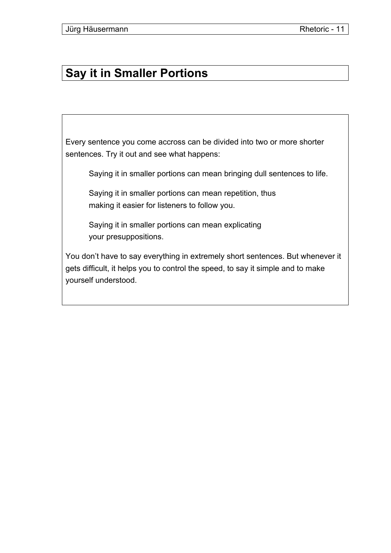### **Say it in Smaller Portions**

Every sentence you come accross can be divided into two or more shorter sentences. Try it out and see what happens:

Saying it in smaller portions can mean bringing dull sentences to life.

Saying it in smaller portions can mean repetition, thus making it easier for listeners to follow you.

Saying it in smaller portions can mean explicating your presuppositions.

You don't have to say everything in extremely short sentences. But whenever it gets difficult, it helps you to control the speed, to say it simple and to make yourself understood.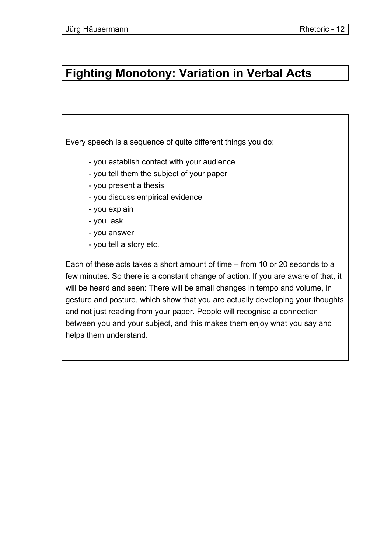#### **Fighting Monotony: Variation in Verbal Acts**

Every speech is a sequence of quite different things you do:

- you establish contact with your audience
- you tell them the subject of your paper
- you present a thesis
- you discuss empirical evidence
- you explain
- you ask
- you answer
- you tell a story etc.

Each of these acts takes a short amount of time – from 10 or 20 seconds to a few minutes. So there is a constant change of action. If you are aware of that, it will be heard and seen: There will be small changes in tempo and volume, in gesture and posture, which show that you are actually developing your thoughts and not just reading from your paper. People will recognise a connection between you and your subject, and this makes them enjoy what you say and helps them understand.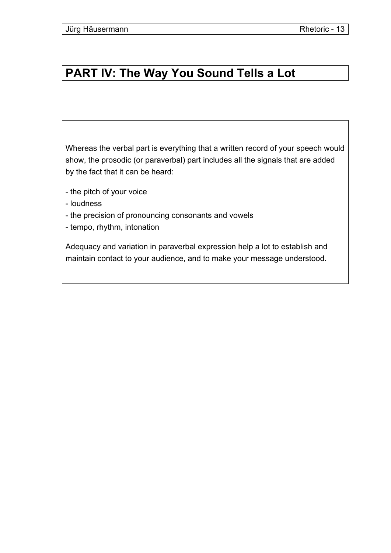#### **PART IV: The Way You Sound Tells a Lot**

Whereas the verbal part is everything that a written record of your speech would show, the prosodic (or paraverbal) part includes all the signals that are added by the fact that it can be heard:

- the pitch of your voice
- loudness
- the precision of pronouncing consonants and vowels
- tempo, rhythm, intonation

Adequacy and variation in paraverbal expression help a lot to establish and maintain contact to your audience, and to make your message understood.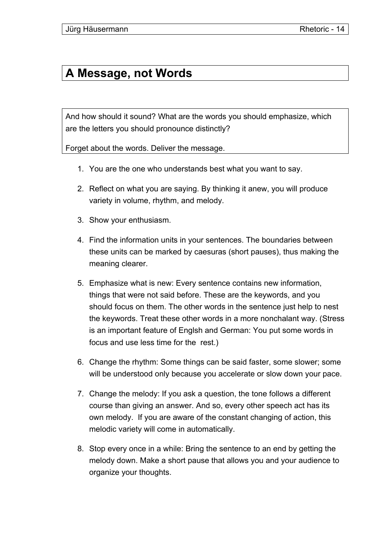### **A Message, not Words**

And how should it sound? What are the words you should emphasize, which are the letters you should pronounce distinctly?

Forget about the words. Deliver the message.

- 1. You are the one who understands best what you want to say.
- 2. Reflect on what you are saying. By thinking it anew, you will produce variety in volume, rhythm, and melody.
- 3. Show your enthusiasm.
- 4. Find the information units in your sentences. The boundaries between these units can be marked by caesuras (short pauses), thus making the meaning clearer.
- 5. Emphasize what is new: Every sentence contains new information, things that were not said before. These are the keywords, and you should focus on them. The other words in the sentence just help to nest the keywords. Treat these other words in a more nonchalant way. (Stress is an important feature of Englsh and German: You put some words in focus and use less time for the rest.)
- 6. Change the rhythm: Some things can be said faster, some slower; some will be understood only because you accelerate or slow down your pace.
- 7. Change the melody: If you ask a question, the tone follows a different course than giving an answer. And so, every other speech act has its own melody. If you are aware of the constant changing of action, this melodic variety will come in automatically.
- 8. Stop every once in a while: Bring the sentence to an end by getting the melody down. Make a short pause that allows you and your audience to organize your thoughts.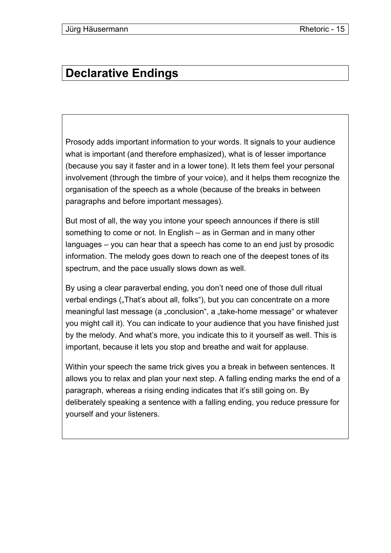# **Declarative Endings**

Prosody adds important information to your words. It signals to your audience what is important (and therefore emphasized), what is of lesser importance (because you say it faster and in a lower tone). It lets them feel your personal involvement (through the timbre of your voice), and it helps them recognize the organisation of the speech as a whole (because of the breaks in between paragraphs and before important messages).

But most of all, the way you intone your speech announces if there is still something to come or not. In English – as in German and in many other languages – you can hear that a speech has come to an end just by prosodic information. The melody goes down to reach one of the deepest tones of its spectrum, and the pace usually slows down as well.

By using a clear paraverbal ending, you don't need one of those dull ritual verbal endings ("That's about all, folks"), but you can concentrate on a more meaningful last message (a "conclusion", a "take-home message" or whatever you might call it). You can indicate to your audience that you have finished just by the melody. And what's more, you indicate this to it yourself as well. This is important, because it lets you stop and breathe and wait for applause.

Within your speech the same trick gives you a break in between sentences. It allows you to relax and plan your next step. A falling ending marks the end of a paragraph, whereas a rising ending indicates that it's still going on. By deliberately speaking a sentence with a falling ending, you reduce pressure for yourself and your listeners.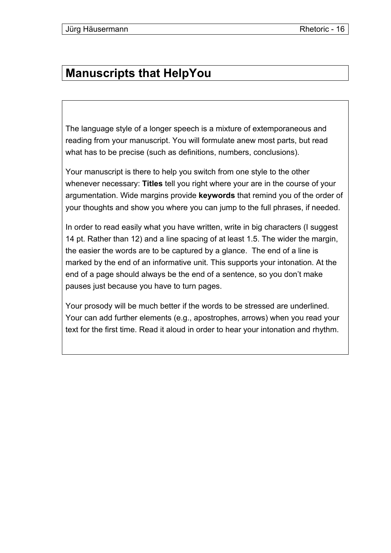# **Manuscripts that HelpYou**

The language style of a longer speech is a mixture of extemporaneous and reading from your manuscript. You will formulate anew most parts, but read what has to be precise (such as definitions, numbers, conclusions).

Your manuscript is there to help you switch from one style to the other whenever necessary: **Titles** tell you right where your are in the course of your argumentation. Wide margins provide **keywords** that remind you of the order of your thoughts and show you where you can jump to the full phrases, if needed.

In order to read easily what you have written, write in big characters (I suggest 14 pt. Rather than 12) and a line spacing of at least 1.5. The wider the margin, the easier the words are to be captured by a glance. The end of a line is marked by the end of an informative unit. This supports your intonation. At the end of a page should always be the end of a sentence, so you don't make pauses just because you have to turn pages.

Your prosody will be much better if the words to be stressed are underlined. Your can add further elements (e.g., apostrophes, arrows) when you read your text for the first time. Read it aloud in order to hear your intonation and rhythm.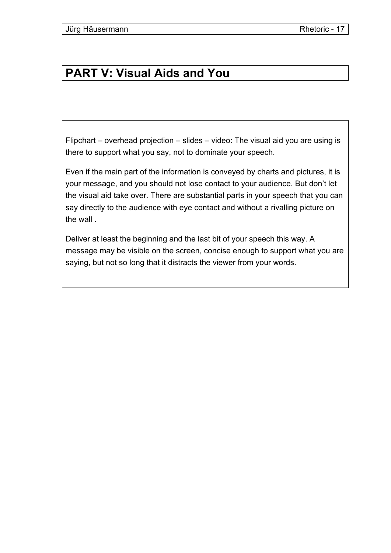### **PART V: Visual Aids and You**

Flipchart – overhead projection – slides – video: The visual aid you are using is there to support what you say, not to dominate your speech.

Even if the main part of the information is conveyed by charts and pictures, it is your message, and you should not lose contact to your audience. But don't let the visual aid take over. There are substantial parts in your speech that you can say directly to the audience with eye contact and without a rivalling picture on the wall .

Deliver at least the beginning and the last bit of your speech this way. A message may be visible on the screen, concise enough to support what you are saying, but not so long that it distracts the viewer from your words.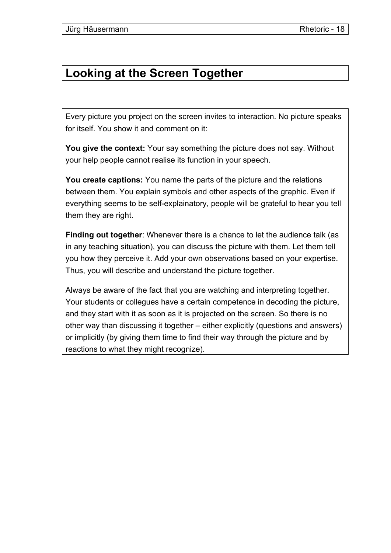#### **Looking at the Screen Together**

Every picture you project on the screen invites to interaction. No picture speaks for itself. You show it and comment on it:

**You give the context:** Your say something the picture does not say. Without your help people cannot realise its function in your speech.

**You create captions:** You name the parts of the picture and the relations between them. You explain symbols and other aspects of the graphic. Even if everything seems to be self-explainatory, people will be grateful to hear you tell them they are right.

**Finding out together**: Whenever there is a chance to let the audience talk (as in any teaching situation), you can discuss the picture with them. Let them tell you how they perceive it. Add your own observations based on your expertise. Thus, you will describe and understand the picture together.

Always be aware of the fact that you are watching and interpreting together. Your students or collegues have a certain competence in decoding the picture, and they start with it as soon as it is projected on the screen. So there is no other way than discussing it together – either explicitly (questions and answers) or implicitly (by giving them time to find their way through the picture and by reactions to what they might recognize).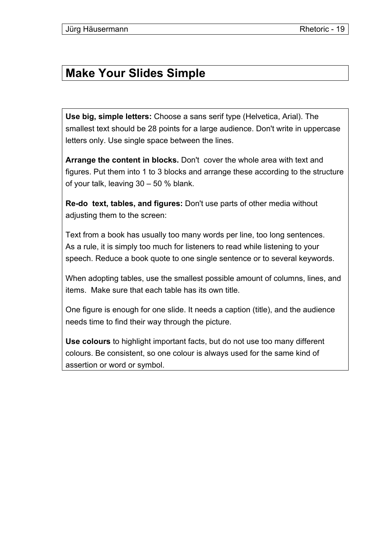#### **Make Your Slides Simple**

**Use big, simple letters:** Choose a sans serif type (Helvetica, Arial). The smallest text should be 28 points for a large audience. Don't write in uppercase letters only. Use single space between the lines.

**Arrange the content in blocks.** Don't cover the whole area with text and figures. Put them into 1 to 3 blocks and arrange these according to the structure of your talk, leaving 30 – 50 % blank.

**Re-do text, tables, and figures:** Don't use parts of other media without adjusting them to the screen:

Text from a book has usually too many words per line, too long sentences. As a rule, it is simply too much for listeners to read while listening to your speech. Reduce a book quote to one single sentence or to several keywords.

When adopting tables, use the smallest possible amount of columns, lines, and items. Make sure that each table has its own title.

One figure is enough for one slide. It needs a caption (title), and the audience needs time to find their way through the picture.

**Use colours** to highlight important facts, but do not use too many different colours. Be consistent, so one colour is always used for the same kind of assertion or word or symbol.